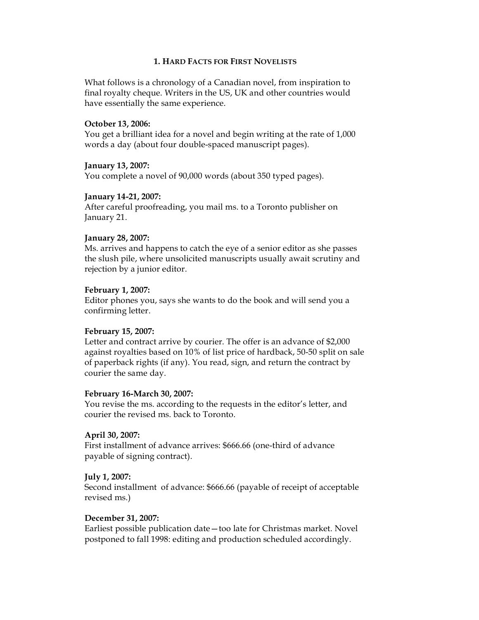### **1. HARD FACTS FOR FIRST NOVELISTS**

What follows is a chronology of a Canadian novel, from inspiration to final royalty cheque. Writers in the US, UK and other countries would have essentially the same experience.

#### **October 13, 2006:**

You get a brilliant idea for a novel and begin writing at the rate of 1,000 words a day (about four double-spaced manuscript pages).

### **January 13, 2007:**

You complete a novel of 90,000 words (about 350 typed pages).

### **January 14-21, 2007:**

After careful proofreading, you mail ms. to a Toronto publisher on January 21.

### **January 28, 2007:**

Ms. arrives and happens to catch the eye of a senior editor as she passes the slush pile, where unsolicited manuscripts usually await scrutiny and rejection by a junior editor.

### **February 1, 2007:**

Editor phones you, says she wants to do the book and will send you a confirming letter.

## **February 15, 2007:**

Letter and contract arrive by courier. The offer is an advance of \$2,000 against royalties based on 10% of list price of hardback, 50-50 split on sale of paperback rights (if any). You read, sign, and return the contract by courier the same day.

#### **February 16-March 30, 2007:**

You revise the ms. according to the requests in the editor's letter, and courier the revised ms. back to Toronto.

#### **April 30, 2007:**

First installment of advance arrives: \$666.66 (one-third of advance payable of signing contract).

#### **July 1, 2007:**

Second installment of advance: \$666.66 (payable of receipt of acceptable revised ms.)

## **December 31, 2007:**

Earliest possible publication date—too late for Christmas market. Novel postponed to fall 1998: editing and production scheduled accordingly.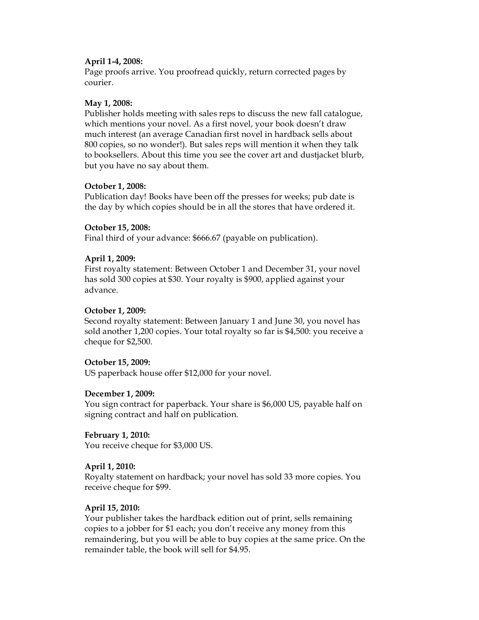## **April 1-4, 2008:**

Page proofs arrive. You proofread quickly, return corrected pages by courier.

## **May 1, 2008:**

Publisher holds meeting with sales reps to discuss the new fall catalogue, which mentions your novel. As a first novel, your book doesn't draw much interest (an average Canadian first novel in hardback sells about 800 copies, so no wonder!). But sales reps will mention it when they talk to booksellers. About this time you see the cover art and dustjacket blurb, but you have no say about them.

## **October 1, 2008:**

Publication day! Books have been off the presses for weeks; pub date is the day by which copies should be in all the stores that have ordered it.

## **October 15, 2008:**

Final third of your advance: \$666.67 (payable on publication).

## **April 1, 2009:**

First royalty statement: Between October 1 and December 31, your novel has sold 300 copies at \$30. Your royalty is \$900, applied against your advance.

## **October 1, 2009:**

Second royalty statement: Between January 1 and June 30, you novel has sold another 1,200 copies. Your total royalty so far is \$4,500: you receive a cheque for \$2,500.

## **October 15, 2009:**

US paperback house offer \$12,000 for your novel.

## **December 1, 2009:**

You sign contract for paperback. Your share is \$6,000 US, payable half on signing contract and half on publication.

**February 1, 2010:** You receive cheque for \$3,000 US.

# **April 1, 2010:**

Royalty statement on hardback; your novel has sold 33 more copies. You receive cheque for \$99.

## **April 15, 2010:**

Your publisher takes the hardback edition out of print, sells remaining copies to a jobber for \$1 each; you don't receive any money from this remaindering, but you will be able to buy copies at the same price. On the remainder table, the book will sell for \$4.95.